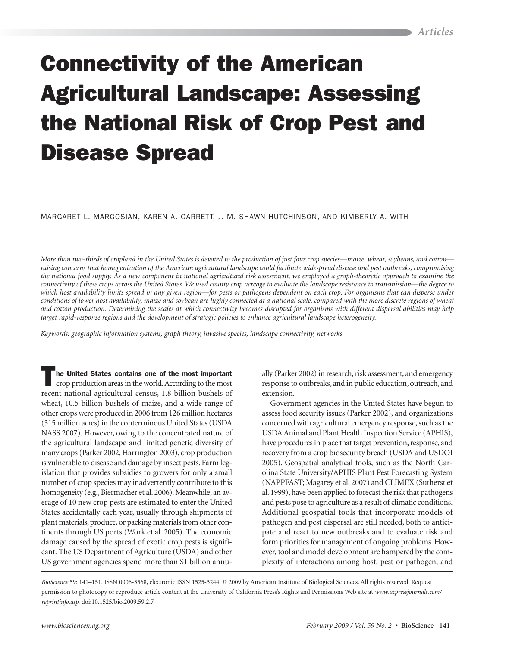# Connectivity of the American Agricultural Landscape: Assessing the National Risk of Crop Pest and Disease Spread

MARGARET L. MARGOSIAN, KAREN A. GARRETT, J. M. SHAWN HUTCHINSON, AND KIMBERLY A. WITH

*More than two-thirds of cropland in the United States is devoted to the production of just four crop species—maize, wheat, soybeans, and cotton raising concerns that homogenization of the American agricultural landscape could facilitate widespread disease and pest outbreaks, compromising the national food supply. As a new component in national agricultural risk assessment, we employed a graph-theoretic approach to examine the connectivity of these crops across the United States. We used county crop acreage to evaluate the landscape resistance to transmission—the degree to which host availability limits spread in any given region—for pests or pathogens dependent on each crop. For organisms that can disperse under conditions of lower host availability, maize and soybean are highly connected at a national scale, compared with the more discrete regions of wheat and cotton production. Determining the scales at which connectivity becomes disrupted for organisms with different dispersal abilities may help target rapid-response regions and the development of strategic policies to enhance agricultural landscape heterogeneity.*

*Keywords: geographic information systems, graph theory, invasive species, landscape connectivity, networks*

The United States contains one of the most important crop production areas in the world. According to the most recent national agricultural census, 1.8 billion bushels of wheat, 10.5 billion bushels of maize, and a wide range of other crops were produced in 2006 from 126 million hectares (315 million acres) in the conterminous United States (USDA NASS 2007). However, owing to the concentrated nature of the agricultural landscape and limited genetic diversity of many crops (Parker 2002, Harrington 2003), crop production is vulnerable to disease and damage by insect pests. Farm legislation that provides subsidies to growers for only a small number of crop species may inadvertently contribute to this homogeneity (e.g., Biermacher et al. 2006). Meanwhile, an average of 10 new crop pests are estimated to enter the United States accidentally each year, usually through shipments of plant materials, produce, or packing materials from other continents through US ports (Work et al. 2005). The economic damage caused by the spread of exotic crop pests is significant. The US Department of Agriculture (USDA) and other US government agencies spend more than \$1 billion annu-

ally (Parker 2002) in research, risk assessment, and emergency response to outbreaks, and in public education, outreach, and extension.

Government agencies in the United States have begun to assess food security issues (Parker 2002), and organizations concerned with agricultural emergency response, such as the USDA Animal and Plant Health Inspection Service (APHIS), have procedures in place that target prevention, response, and recovery from a crop biosecurity breach (USDA and USDOI 2005). Geospatial analytical tools, such as the North Carolina State University/APHIS Plant Pest Forecasting System (NAPPFAST; Magarey et al. 2007) and CLIMEX (Sutherst et al. 1999), have been applied to forecast the risk that pathogens and pests pose to agriculture as a result of climatic conditions. Additional geospatial tools that incorporate models of pathogen and pest dispersal are still needed, both to anticipate and react to new outbreaks and to evaluate risk and form priorities for management of ongoing problems. However, tool and model development are hampered by the complexity of interactions among host, pest or pathogen, and

*BioScience* 59: 141–151. ISSN 0006-3568, electronic ISSN 1525-3244. © 2009 by American Institute of Biological Sciences. All rights reserved. Request permission to photocopy or reproduce article content at the University of California Press's Rights and Permissions Web site at *www.ucpressjournals.com/ reprintinfo.asp.* doi:10.1525/bio.2009.59.2.7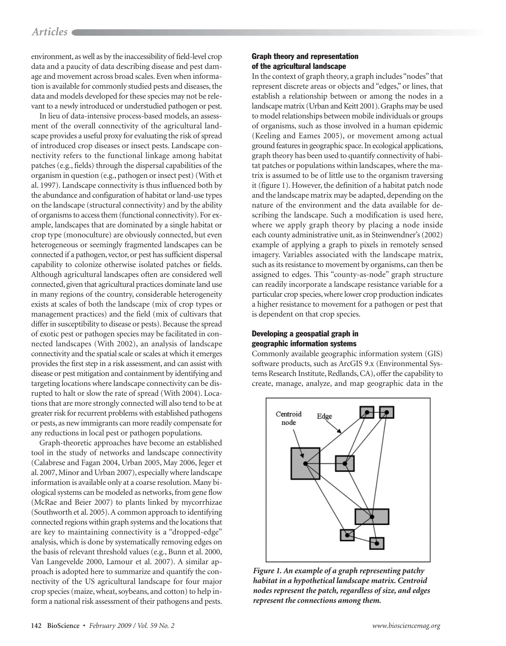# *Articles*

environment, as well as by the inaccessibility of field-level crop data and a paucity of data describing disease and pest damage and movement across broad scales. Even when information is available for commonly studied pests and diseases, the data and models developed for these species may not be relevant to a newly introduced or understudied pathogen or pest.

In lieu of data-intensive process-based models, an assessment of the overall connectivity of the agricultural landscape provides a useful proxy for evaluating the risk of spread of introduced crop diseases or insect pests. Landscape connectivity refers to the functional linkage among habitat patches (e.g., fields) through the dispersal capabilities of the organism in question (e.g., pathogen or insect pest) (With et al. 1997). Landscape connectivity is thus influenced both by the abundance and configuration of habitat or land-use types on the landscape (structural connectivity) and by the ability of organisms to access them (functional connectivity). For example, landscapes that are dominated by a single habitat or crop type (monoculture) are obviously connected, but even heterogeneous or seemingly fragmented landscapes can be connected if a pathogen, vector, or pest has sufficient dispersal capability to colonize otherwise isolated patches or fields. Although agricultural landscapes often are considered well connected, given that agricultural practices dominate land use in many regions of the country, considerable heterogeneity exists at scales of both the landscape (mix of crop types or management practices) and the field (mix of cultivars that differ in susceptibility to disease or pests). Because the spread of exotic pest or pathogen species may be facilitated in connected landscapes (With 2002), an analysis of landscape connectivity and the spatial scale or scales at which it emerges provides the first step in a risk assessment, and can assist with disease or pest mitigation and containment by identifying and targeting locations where landscape connectivity can be disrupted to halt or slow the rate of spread (With 2004). Locations that are more strongly connected will also tend to be at greater risk for recurrent problems with established pathogens or pests, as new immigrants can more readily compensate for any reductions in local pest or pathogen populations.

Graph-theoretic approaches have become an established tool in the study of networks and landscape connectivity (Calabrese and Fagan 2004, Urban 2005, May 2006, Jeger et al. 2007, Minor and Urban 2007), especially where landscape information is available only at a coarse resolution. Many biological systems can be modeled as networks, from gene flow (McRae and Beier 2007) to plants linked by mycorrhizae (Southworth et al. 2005). A common approach to identifying connected regions within graph systems and the locations that are key to maintaining connectivity is a "dropped-edge" analysis, which is done by systematically removing edges on the basis of relevant threshold values (e.g., Bunn et al. 2000, Van Langevelde 2000, Lamour et al. 2007). A similar approach is adopted here to summarize and quantify the connectivity of the US agricultural landscape for four major crop species (maize, wheat, soybeans, and cotton) to help inform a national risk assessment of their pathogens and pests.

# Graph theory and representation of the agricultural landscape

In the context of graph theory, a graph includes "nodes" that represent discrete areas or objects and "edges," or lines, that establish a relationship between or among the nodes in a landscape matrix (Urban and Keitt 2001). Graphs may be used to model relationships between mobile individuals or groups of organisms, such as those involved in a human epidemic (Keeling and Eames 2005), or movement among actual ground features in geographic space. In ecological applications, graph theory has been used to quantify connectivity of habitat patches or populations within landscapes, where the matrix is assumed to be of little use to the organism traversing it (figure 1). However, the definition of a habitat patch node and the landscape matrix may be adapted, depending on the nature of the environment and the data available for describing the landscape. Such a modification is used here, where we apply graph theory by placing a node inside each county administrative unit, as in Steinwendner's (2002) example of applying a graph to pixels in remotely sensed imagery. Variables associated with the landscape matrix, such as its resistance to movement by organisms, can then be assigned to edges. This "county-as-node" graph structure can readily incorporate a landscape resistance variable for a particular crop species, where lower crop production indicates a higher resistance to movement for a pathogen or pest that is dependent on that crop species.

# Developing a geospatial graph in geographic information systems

Commonly available geographic information system (GIS) software products, such as ArcGIS 9.x (Environmental Systems Research Institute, Redlands, CA), offer the capability to create, manage, analyze, and map geographic data in the



*Figure 1. An example of a graph representing patchy habitat in a hypothetical landscape matrix. Centroid nodes represent the patch, regardless of size, and edges represent the connections among them.*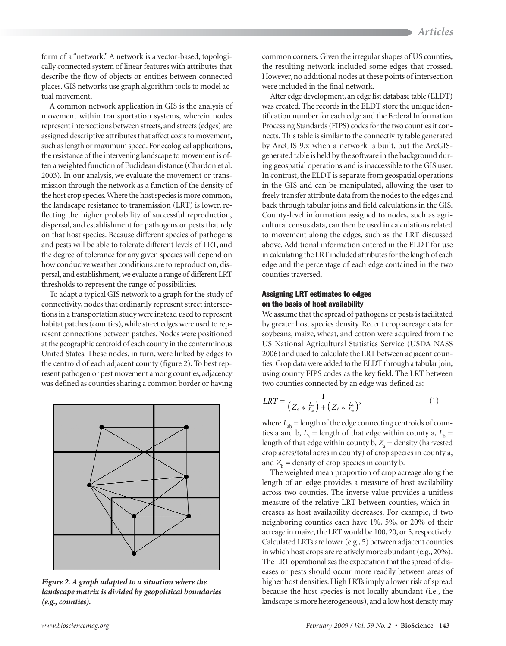form of a "network." A network is a vector-based, topologically connected system of linear features with attributes that describe the flow of objects or entities between connected places. GIS networks use graph algorithm tools to model actual movement.

A common network application in GIS is the analysis of movement within transportation systems, wherein nodes represent intersections between streets, and streets (edges) are assigned descriptive attributes that affect costs to movement, such as length or maximum speed. For ecological applications, the resistance of the intervening landscape to movement is often a weighted function of Euclidean distance (Chardon et al. 2003). In our analysis, we evaluate the movement or transmission through the network as a function of the density of the host crop species. Where the host species is more common, the landscape resistance to transmission (LRT) is lower, reflecting the higher probability of successful reproduction, dispersal, and establishment for pathogens or pests that rely on that host species. Because different species of pathogens and pests will be able to tolerate different levels of LRT, and the degree of tolerance for any given species will depend on how conducive weather conditions are to reproduction, dispersal, and establishment, we evaluate a range of different LRT thresholds to represent the range of possibilities.

To adapt a typical GIS network to a graph for the study of connectivity, nodes that ordinarily represent street intersections in a transportation study were instead used to represent habitat patches (counties), while street edges were used to represent connections between patches. Nodes were positioned at the geographic centroid of each county in the conterminous United States. These nodes, in turn, were linked by edges to the centroid of each adjacent county (figure 2). To best represent pathogen or pest movement among counties, adjacency was defined as counties sharing a common border or having



*Figure 2. A graph adapted to a situation where the landscape matrix is divided by geopolitical boundaries (e.g., counties).*

common corners. Given the irregular shapes of US counties, the resulting network included some edges that crossed. However, no additional nodes at these points of intersection were included in the final network.

After edge development, an edge list database table (ELDT) was created. The records in the ELDT store the unique identification number for each edge and the Federal Information Processing Standards (FIPS) codes for the two counties it connects. This table is similar to the connectivity table generated by ArcGIS 9.x when a network is built, but the ArcGIS generated table is held by the software in the background during geospatial operations and is inaccessible to the GIS user. In contrast, the ELDT is separate from geospatial operations in the GIS and can be manipulated, allowing the user to freely transfer attribute data from the nodes to the edges and back through tabular joins and field calculations in the GIS. County-level information assigned to nodes, such as agricultural census data, can then be used in calculations related to movement along the edges, such as the LRT discussed above. Additional information entered in the ELDT for use in calculating the LRT included attributes for the length of each edge and the percentage of each edge contained in the two counties traversed.

# Assigning LRT estimates to edges on the basis of host availability

We assume that the spread of pathogens or pests is facilitated by greater host species density. Recent crop acreage data for soybeans, maize, wheat, and cotton were acquired from the US National Agricultural Statistics Service (USDA NASS 2006) and used to calculate the LRT between adjacent counties. Crop data were added to the ELDT through a tabular join, using county FIPS codes as the key field. The LRT between two counties connected by an edge was defined as:

$$
LRT = \frac{1}{\left(Z_a * \frac{L_a}{L_a}\right) + \left(Z_b * \frac{L_b}{L_a}\right)},\tag{1}
$$

where  $L_{ab}$  = length of the edge connecting centroids of counties a and b,  $L_a$  = length of that edge within county a,  $L_b$  = length of that edge within county b,  $Z_a$  = density (harvested crop acres/total acres in county) of crop species in county a, and  $Z<sub>b</sub>$  = density of crop species in county b.

The weighted mean proportion of crop acreage along the length of an edge provides a measure of host availability across two counties. The inverse value provides a unitless measure of the relative LRT between counties, which increases as host availability decreases. For example, if two neighboring counties each have 1%, 5%, or 20% of their acreage in maize, the LRT would be 100, 20, or 5, respectively. Calculated LRTs are lower (e.g., 5) between adjacent counties in which host crops are relatively more abundant (e.g., 20%). The LRT operationalizes the expectation that the spread of diseases or pests should occur more readily between areas of higher host densities. High LRTs imply a lower risk of spread because the host species is not locally abundant (i.e., the landscape is more heterogeneous), and a low host density may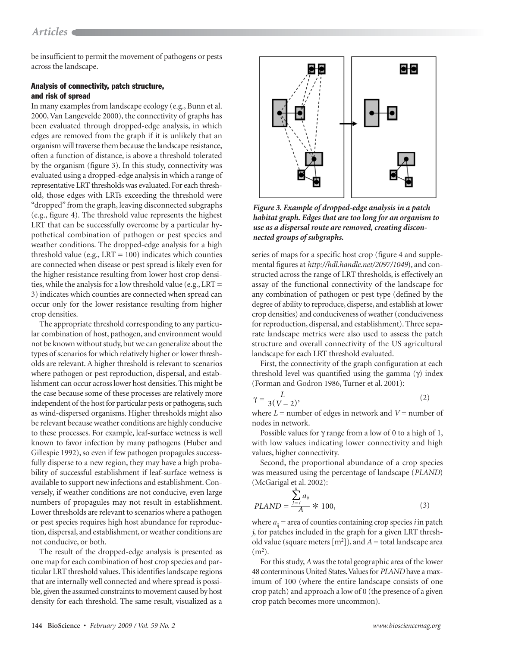be insufficient to permit the movement of pathogens or pests across the landscape.

# Analysis of connectivity, patch structure, and risk of spread

In many examples from landscape ecology (e.g., Bunn et al. 2000, Van Langevelde 2000), the connectivity of graphs has been evaluated through dropped-edge analysis, in which edges are removed from the graph if it is unlikely that an organism will traverse them because the landscape resistance, often a function of distance, is above a threshold tolerated by the organism (figure 3). In this study, connectivity was evaluated using a dropped-edge analysis in which a range of representative LRT thresholds was evaluated. For each threshold, those edges with LRTs exceeding the threshold were "dropped" from the graph, leaving disconnected subgraphs (e.g., figure 4). The threshold value represents the highest LRT that can be successfully overcome by a particular hypothetical combination of pathogen or pest species and weather conditions. The dropped-edge analysis for a high threshold value (e.g.,  $LRT = 100$ ) indicates which counties are connected when disease or pest spread is likely even for the higher resistance resulting from lower host crop densities, while the analysis for a low threshold value (e.g., LRT = 3) indicates which counties are connected when spread can occur only for the lower resistance resulting from higher crop densities.

The appropriate threshold corresponding to any particular combination of host, pathogen, and environment would not be known without study, but we can generalize about the types of scenarios for which relatively higher or lower thresholds are relevant. A higher threshold is relevant to scenarios where pathogen or pest reproduction, dispersal, and establishment can occur across lower host densities. This might be the case because some of these processes are relatively more independent of the host for particular pests or pathogens, such as wind-dispersed organisms. Higher thresholds might also be relevant because weather conditions are highly conducive to these processes. For example, leaf-surface wetness is well known to favor infection by many pathogens (Huber and Gillespie 1992), so even if few pathogen propagules successfully disperse to a new region, they may have a high probability of successful establishment if leaf-surface wetness is available to support new infections and establishment. Conversely, if weather conditions are not conducive, even large numbers of propagules may not result in establishment. Lower thresholds are relevant to scenarios where a pathogen or pest species requires high host abundance for reproduction, dispersal, and establishment, or weather conditions are not conducive, or both.

The result of the dropped-edge analysis is presented as one map for each combination of host crop species and particular LRT threshold values. This identifies landscape regions that are internally well connected and where spread is possible, given the assumed constraints to movement caused by host density for each threshold. The same result, visualized as a



*Figure 3. Example of dropped-edge analysis in a patch habitat graph. Edges that are too long for an organism to use as a dispersal route are removed, creating disconnected groups of subgraphs.*

series of maps for a specific host crop (figure 4 and supplemental figures at *http://hdl.handle.net/2097/1049*), and constructed across the range of LRT thresholds, is effectively an assay of the functional connectivity of the landscape for any combination of pathogen or pest type (defined by the degree of ability to reproduce, disperse, and establish at lower crop densities) and conduciveness of weather (conduciveness for reproduction, dispersal, and establishment). Three separate landscape metrics were also used to assess the patch structure and overall connectivity of the US agricultural landscape for each LRT threshold evaluated.

First, the connectivity of the graph configuration at each threshold level was quantified using the gamma (γ) index (Forman and Godron 1986, Turner et al. 2001):

$$
\gamma = \frac{L}{3(V-2)},\tag{2}
$$

where  $L =$  number of edges in network and  $V =$  number of nodes in network.

Possible values for γ range from a low of 0 to a high of 1, with low values indicating lower connectivity and high values, higher connectivity.

Second, the proportional abundance of a crop species was measured using the percentage of landscape (*PLAND*) (McGarigal et al. 2002):

$$
PLAND = \frac{\sum_{j=i}^{n} a_{ij}}{A} \ast 100,
$$
\n(3)

where  $a_{ii}$  = area of counties containing crop species *i* in patch *j*, for patches included in the graph for a given LRT threshold value (square meters  $[m^2]$ ), and  $A =$  total landscape area  $(m<sup>2</sup>)$ .

For this study, *A* was the total geographic area of the lower 48 conterminous United States. Values for *PLAND* have a maximum of 100 (where the entire landscape consists of one crop patch) and approach a low of 0 (the presence of a given crop patch becomes more uncommon).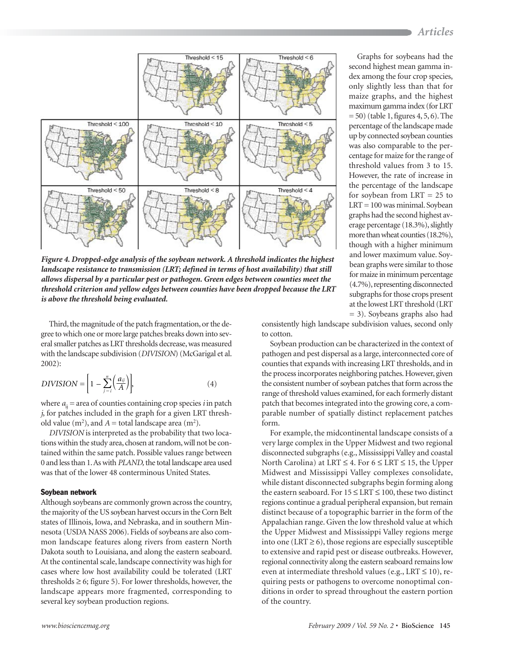

*Figure 4. Dropped-edge analysis of the soybean network. A threshold indicates the highest landscape resistance to transmission (LRT; defined in terms of host availability) that still allows dispersal by a particular pest or pathogen. Green edges between counties meet the threshold criterion and yellow edges between counties have been dropped because the LRT is above the threshold being evaluated.*

Third, the magnitude of the patch fragmentation, or the degree to which one or more large patches breaks down into several smaller patches as LRT thresholds decrease, was measured with the landscape subdivision (*DIVISION*) (McGarigal et al. 2002):

$$
DIVISION = \left[1 - \sum_{j=i}^{n} \left(\frac{a_{ij}}{A}\right)\right],\tag{4}
$$

where  $a_{ii}$  = area of counties containing crop species *i* in patch *j*, for patches included in the graph for a given LRT threshold value  $(m^2)$ , and  $A =$  total landscape area  $(m^2)$ .

*DIVISION* is interpreted as the probability that two locations within the study area, chosen at random, will not be contained within the same patch. Possible values range between 0 and less than 1. As with *PLAND,* the total landscape area used was that of the lower 48 conterminous United States.

# Soybean network

Although soybeans are commonly grown across the country, the majority of the US soybean harvest occurs in the Corn Belt states of Illinois, Iowa, and Nebraska, and in southern Minnesota (USDA NASS 2006). Fields of soybeans are also common landscape features along rivers from eastern North Dakota south to Louisiana, and along the eastern seaboard. At the continental scale, landscape connectivity was high for cases where low host availability could be tolerated (LRT thresholds  $\geq$  6; figure 5). For lower thresholds, however, the landscape appears more fragmented, corresponding to several key soybean production regions.

Graphs for soybeans had the second highest mean gamma index among the four crop species, only slightly less than that for maize graphs, and the highest maximum gamma index (for LRT = 50) (table 1, figures 4, 5, 6). The percentage of the landscape made up by connected soybean counties was also comparable to the percentage for maize for the range of threshold values from 3 to 15. However, the rate of increase in the percentage of the landscape for soybean from LRT = 25 to LRT = 100 was minimal. Soybean graphs had the second highest average percentage (18.3%), slightly more than wheat counties (18.2%), though with a higher minimum and lower maximum value. Soybean graphs were similar to those for maize in minimum percentage (4.7%), representing disconnected subgraphs for those crops present at the lowest LRT threshold (LRT = 3). Soybeans graphs also had

consistently high landscape subdivision values, second only to cotton.

Soybean production can be characterized in the context of pathogen and pest dispersal as a large, interconnected core of counties that expands with increasing LRT thresholds, and in the process incorporates neighboring patches. However, given the consistent number of soybean patches that form across the range of threshold values examined, for each formerly distant patch that becomes integrated into the growing core, a comparable number of spatially distinct replacement patches form.

For example, the midcontinental landscape consists of a very large complex in the Upper Midwest and two regional disconnected subgraphs (e.g., Mississippi Valley and coastal North Carolina) at LRT  $\leq$  4. For  $6 \leq$  LRT  $\leq$  15, the Upper Midwest and Mississippi Valley complexes consolidate, while distant disconnected subgraphs begin forming along the eastern seaboard. For  $15 \leq LRT \leq 100$ , these two distinct regions continue a gradual peripheral expansion, but remain distinct because of a topographic barrier in the form of the Appalachian range. Given the low threshold value at which the Upper Midwest and Mississippi Valley regions merge into one (LRT  $\geq$  6), those regions are especially susceptible to extensive and rapid pest or disease outbreaks. However, regional connectivity along the eastern seaboard remains low even at intermediate threshold values (e.g., LRT  $\leq$  10), requiring pests or pathogens to overcome nonoptimal conditions in order to spread throughout the eastern portion of the country.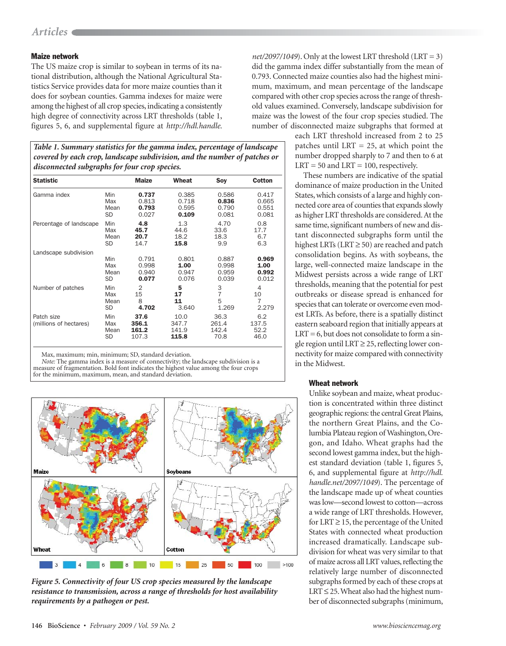#### Maize network

The US maize crop is similar to soybean in terms of its national distribution, although the National Agricultural Statistics Service provides data for more maize counties than it does for soybean counties. Gamma indexes for maize were among the highest of all crop species, indicating a consistently high degree of connectivity across LRT thresholds (table 1, figures 5, 6, and supplemental figure at *http://hdl.handle.*

*Table 1. Summary statistics for the gamma index, percentage of landscape covered by each crop, landscape subdivision, and the number of patches or disconnected subgraphs for four crop species.*

| <b>Statistic</b>                     |                          | <b>Maize</b>                    | Wheat                           | Soy                            | <b>Cotton</b>                |
|--------------------------------------|--------------------------|---------------------------------|---------------------------------|--------------------------------|------------------------------|
| Gamma index                          | Min                      | 0.737                           | 0.385                           | 0.586                          | 0.417                        |
|                                      | Max                      | 0.813                           | 0.718                           | 0.836                          | 0.665                        |
|                                      | Mean                     | 0.793                           | 0.595                           | 0.790                          | 0.551                        |
|                                      | SD                       | 0.027                           | 0.109                           | 0.081                          | 0.081                        |
| Percentage of landscape              | Min                      | 4.8                             | 1.3                             | 4.70                           | 0.8                          |
|                                      | Max                      | 45.7                            | 44.6                            | 33.6                           | 17.7                         |
|                                      | Mean                     | 20.7                            | 18.2                            | 18.3                           | 6.7                          |
|                                      | SD                       | 14.7                            | 15.8                            | 9.9                            | 6.3                          |
| Landscape subdivision                | Min                      | 0.791                           | 0.801                           | 0.887                          | 0.969                        |
|                                      | Max                      | 0.998                           | 1.00                            | 0.998                          | 1.00                         |
|                                      | Mean                     | 0.940                           | 0.947                           | 0.959                          | 0.992                        |
|                                      | SD                       | 0.077                           | 0.076                           | 0.039                          | 0.012                        |
| Number of patches                    | Min                      | 2                               | 5                               | 3                              | 4                            |
|                                      | Max                      | 15                              | 17                              | $\overline{7}$                 | 10                           |
|                                      | Mean                     | 8                               | 11                              | 5                              | 7                            |
|                                      | SD                       | 4.702                           | 3.640                           | 1.269                          | 2.279                        |
| Patch size<br>(millions of hectares) | Min<br>Max<br>Mean<br>SD | 37.6<br>356.1<br>161.2<br>107.3 | 10.0<br>347.7<br>141.9<br>115.8 | 36.3<br>261.4<br>142.4<br>70.8 | 6.2<br>137.5<br>52.2<br>46.0 |

Max, maximum; min, minimum; SD, standard deviation.

*Note:* The gamma index is a measure of connectivity; the landscape subdivision is a measure of fragmentation. Bold font indicates the highest value among the four crops for the minimum, maximum, mean, and standard deviation.



*Figure 5. Connectivity of four US crop species measured by the landscape resistance to transmission, across a range of thresholds for host availability requirements by a pathogen or pest.*

*net/2097/1049*). Only at the lowest LRT threshold (LRT = 3) did the gamma index differ substantially from the mean of 0.793. Connected maize counties also had the highest minimum, maximum, and mean percentage of the landscape compared with other crop species across the range of threshold values examined. Conversely, landscape subdivision for maize was the lowest of the four crop species studied. The number of disconnected maize subgraphs that formed at

> each LRT threshold increased from 2 to 25 patches until LRT = 25, at which point the number dropped sharply to 7 and then to 6 at  $LRT = 50$  and  $LRT = 100$ , respectively.

> These numbers are indicative of the spatial dominance of maize production in the United States, which consists of a large and highly connected core area of counties that expands slowly as higher LRT thresholds are considered. At the same time, significant numbers of new and distant disconnected subgraphs form until the highest LRTs (LRT  $\geq$  50) are reached and patch consolidation begins. As with soybeans, the large, well-connected maize landscape in the Midwest persists across a wide range of LRT thresholds, meaning that the potential for pest outbreaks or disease spread is enhanced for species that can tolerate or overcome even modest LRTs. As before, there is a spatially distinct eastern seaboard region that initially appears at  $LRT = 6$ , but does not consolidate to form a single region until LRT ≥ 25, reflecting lower connectivity for maize compared with connectivity in the Midwest.

#### Wheat network

Unlike soybean and maize, wheat production is concentrated within three distinct geographic regions: the central Great Plains, the northern Great Plains, and the Columbia Plateau region of Washington, Oregon, and Idaho. Wheat graphs had the second lowest gamma index, but the highest standard deviation (table 1, figures 5, 6, and supplemental figure at *http://hdl. handle.net/2097/1049*). The percentage of the landscape made up of wheat counties was low—second lowest to cotton—across a wide range of LRT thresholds. However, for LRT  $\geq$  15, the percentage of the United States with connected wheat production increased dramatically. Landscape sub division for wheat was very similar to that of maize across all LRT values, reflecting the relatively large number of disconnected subgraphs formed by each of these crops at  $LRT \leq 25$ . Wheat also had the highest number of disconnected subgraphs (minimum,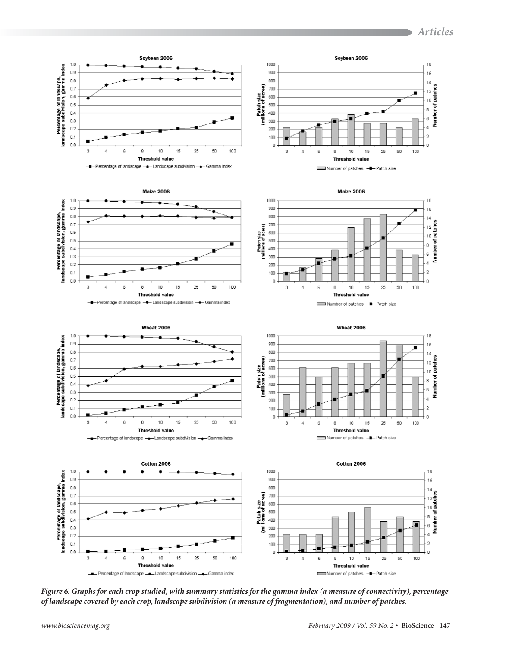

*Figure 6. Graphs for each crop studied, with summary statistics for the gamma index (a measure of connectivity), percentage of landscape covered by each crop, landscape subdivision (a measure of fragmentation), and number of patches.*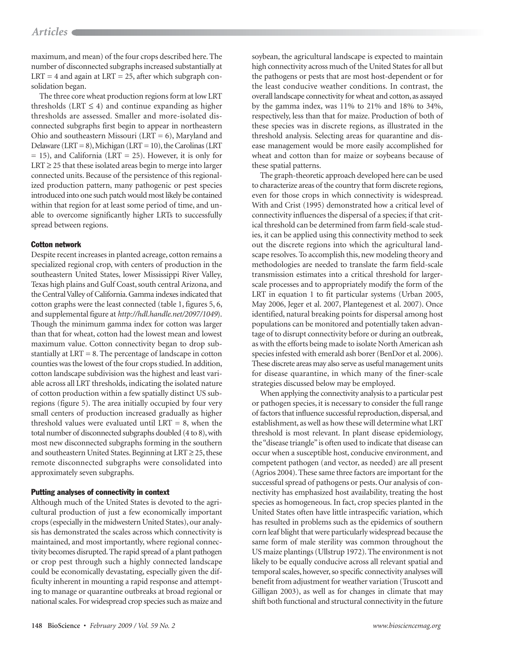maximum, and mean) of the four crops described here. The number of disconnected subgraphs increased substantially at  $LRT = 4$  and again at  $LRT = 25$ , after which subgraph consolidation began.

The three core wheat production regions form at low LRT thresholds (LRT  $\leq$  4) and continue expanding as higher thresholds are assessed. Smaller and more-isolated dis connected subgraphs first begin to appear in northeastern Ohio and southeastern Missouri (LRT = 6), Maryland and Delaware (LRT = 8), Michigan (LRT = 10), the Carolinas (LRT  $= 15$ ), and California (LRT  $= 25$ ). However, it is only for  $LRT \geq 25$  that these isolated areas begin to merge into larger connected units. Because of the persistence of this regionalized production pattern, many pathogenic or pest species introduced into one such patch would most likely be contained within that region for at least some period of time, and unable to overcome significantly higher LRTs to successfully spread between regions.

# Cotton network

Despite recent increases in planted acreage, cotton remains a specialized regional crop, with centers of production in the southeastern United States, lower Mississippi River Valley, Texas high plains and Gulf Coast, south central Arizona, and the Central Valley of California. Gamma indexes indicated that cotton graphs were the least connected (table 1, figures 5, 6, and supplemental figure at *http://hdl.handle.net/2097/1049*). Though the minimum gamma index for cotton was larger than that for wheat, cotton had the lowest mean and lowest maximum value. Cotton connectivity began to drop substantially at LRT = 8. The percentage of landscape in cotton counties was the lowest of the four crops studied. In addition, cotton landscape subdivision was the highest and least variable across all LRT thresholds, indicating the isolated nature of cotton production within a few spatially distinct US sub regions (figure 5). The area initially occupied by four very small centers of production increased gradually as higher threshold values were evaluated until LRT =  $8$ , when the total number of disconnected subgraphs doubled (4 to 8), with most new disconnected subgraphs forming in the southern and southeastern United States. Beginning at LRT ≥ 25, these remote disconnected subgraphs were consolidated into approximately seven subgraphs.

# Putting analyses of connectivity in context

Although much of the United States is devoted to the agricultural production of just a few economically important crops (especially in the midwestern United States), our analysis has demonstrated the scales across which connectivity is maintained, and most importantly, where regional connectivity becomes disrupted. The rapid spread of a plant pathogen or crop pest through such a highly connected landscape could be economically devastating, especially given the difficulty inherent in mounting a rapid response and attempting to manage or quarantine outbreaks at broad regional or national scales. For widespread crop species such as maize and

soybean, the agricultural landscape is expected to maintain high connectivity across much of the United States for all but the pathogens or pests that are most host-dependent or for the least conducive weather conditions. In contrast, the overall landscape connectivity for wheat and cotton, as assayed by the gamma index, was 11% to 21% and 18% to 34%, respectively, less than that for maize. Production of both of these species was in discrete regions, as illustrated in the threshold analysis. Selecting areas for quarantine and disease management would be more easily accomplished for wheat and cotton than for maize or soybeans because of these spatial patterns.

The graph-theoretic approach developed here can be used to characterize areas of the country that form discrete regions, even for those crops in which connectivity is widespread. With and Crist (1995) demonstrated how a critical level of connectivity influences the dispersal of a species; if that critical threshold can be determined from farm field-scale studies, it can be applied using this connectivity method to seek out the discrete regions into which the agricultural landscape resolves. To accomplish this, new modeling theory and methodologies are needed to translate the farm field-scale transmission estimates into a critical threshold for largerscale processes and to appropriately modify the form of the LRT in equation 1 to fit particular systems (Urban 2005, May 2006, Jeger et al. 2007, Plantegenest et al. 2007). Once identified, natural breaking points for dispersal among host populations can be monitored and potentially taken advantage of to disrupt connectivity before or during an outbreak, as with the efforts being made to isolate North American ash species infested with emerald ash borer (BenDor et al. 2006). These discrete areas may also serve as useful management units for disease quarantine, in which many of the finer-scale strategies discussed below may be employed.

When applying the connectivity analysis to a particular pest or pathogen species, it is necessary to consider the full range of factors that influence successful reproduction, dispersal, and establishment, as well as how these will determine what LRT threshold is most relevant. In plant disease epidemiology, the "disease triangle" is often used to indicate that disease can occur when a susceptible host, conducive environment, and competent pathogen (and vector, as needed) are all present (Agrios 2004). These same three factors are important for the successful spread of pathogens or pests. Our analysis of connectivity has emphasized host availability, treating the host species as homogeneous. In fact, crop species planted in the United States often have little intraspecific variation, which has resulted in problems such as the epidemics of southern corn leaf blight that were particularly widespread because the same form of male sterility was common throughout the US maize plantings (Ullstrup 1972). The environment is not likely to be equally conducive across all relevant spatial and temporal scales, however, so specific connectivity analyses will benefit from adjustment for weather variation (Truscott and Gilligan 2003), as well as for changes in climate that may shift both functional and structural connectivity in the future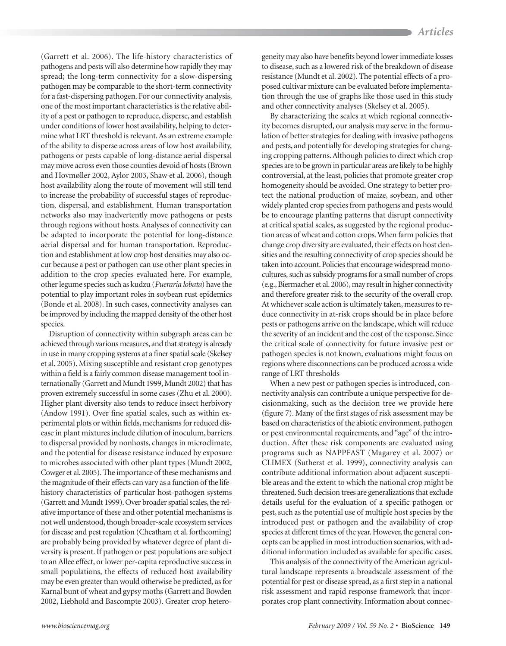(Garrett et al. 2006). The life-history characteristics of pathogens and pests will also determine how rapidly they may spread; the long-term connectivity for a slow-dispersing pathogen may be comparable to the short-term connectivity for a fast-dispersing pathogen. For our connectivity analysis, one of the most important characteristics is the relative ability of a pest or pathogen to reproduce, disperse, and establish under conditions of lower host availability, helping to determine what LRT threshold is relevant. As an extreme example of the ability to disperse across areas of low host availability, pathogens or pests capable of long-distance aerial dispersal may move across even those counties devoid of hosts (Brown and Hovmøller 2002, Aylor 2003, Shaw et al. 2006), though host availability along the route of movement will still tend to increase the probability of successful stages of reproduction, dispersal, and establishment. Human transportation networks also may inadvertently move pathogens or pests through regions without hosts. Analyses of connectivity can be adapted to incorporate the potential for long-distance aerial dispersal and for human transportation. Reproduction and establishment at low crop host densities may also occur because a pest or pathogen can use other plant species in addition to the crop species evaluated here. For example, other legume species such as kudzu (*Pueraria lobata*) have the potential to play important roles in soybean rust epidemics (Bonde et al. 2008). In such cases, connectivity analyses can be improved by including the mapped density of the other host species.

Disruption of connectivity within subgraph areas can be achieved through various measures, and that strategy is already in use in many cropping systems at a finer spatial scale (Skelsey et al. 2005). Mixing susceptible and resistant crop genotypes within a field is a fairly common disease management tool internationally (Garrett and Mundt 1999, Mundt 2002) that has proven extremely successful in some cases (Zhu et al. 2000). Higher plant diversity also tends to reduce insect herbivory (Andow 1991). Over fine spatial scales, such as within experimental plots or within fields, mechanisms for reduced disease in plant mixtures include dilution of inoculum, barriers to dispersal provided by nonhosts, changes in microclimate, and the potential for disease resistance induced by exposure to microbes associated with other plant types (Mundt 2002, Cowger et al. 2005). The importance of these mechanisms and the magnitude of their effects can vary as a function of the lifehistory characteristics of particular host-pathogen systems (Garrett and Mundt 1999). Over broader spatial scales, the relative importance of these and other potential mechanisms is not well understood, though broader-scale ecosystem services for disease and pest regulation (Cheatham et al. forthcoming) are probably being provided by whatever degree of plant diversity is present. If pathogen or pest populations are subject to an Allee effect, or lower per-capita reproductive success in small populations, the effects of reduced host availability may be even greater than would otherwise be predicted, as for Karnal bunt of wheat and gypsy moths (Garrett and Bowden 2002, Liebhold and Bascompte 2003). Greater crop heterogeneity may also have benefits beyond lower immediate losses to disease, such as a lowered risk of the breakdown of disease resistance (Mundt et al. 2002). The potential effects of a proposed cultivar mixture can be evaluated before implementation through the use of graphs like those used in this study and other connectivity analyses (Skelsey et al. 2005).

By characterizing the scales at which regional connectivity becomes disrupted, our analysis may serve in the formulation of better strategies for dealing with invasive pathogens and pests, and potentially for developing strategies for changing cropping patterns. Although policies to direct which crop species are to be grown in particular areas are likely to be highly controversial, at the least, policies that promote greater crop homogeneity should be avoided. One strategy to better protect the national production of maize, soybean, and other widely planted crop species from pathogens and pests would be to encourage planting patterns that disrupt connectivity at critical spatial scales, as suggested by the regional production areas of wheat and cotton crops. When farm policies that change crop diversity are evaluated, their effects on host densities and the resulting connectivity of crop species should be taken into account. Policies that encourage widespread monocultures, such as subsidy programs for a small number of crops (e.g., Biermacher et al. 2006), may result in higher connectivity and therefore greater risk to the security of the overall crop. At whichever scale action is ultimately taken, measures to reduce connectivity in at-risk crops should be in place before pests or pathogens arrive on the landscape, which will reduce the severity of an incident and the cost of the response. Since the critical scale of connectivity for future invasive pest or pathogen species is not known, evaluations might focus on regions where disconnections can be produced across a wide range of LRT thresholds

When a new pest or pathogen species is introduced, connectivity analysis can contribute a unique perspective for decisionmaking, such as the decision tree we provide here (figure 7). Many of the first stages of risk assessment may be based on characteristics of the abiotic environment, pathogen or pest environmental requirements, and "age" of the introduction. After these risk components are evaluated using programs such as NAPPFAST (Magarey et al. 2007) or CLIMEX (Sutherst et al. 1999), connectivity analysis can contribute additional information about adjacent susceptible areas and the extent to which the national crop might be threatened. Such decision trees are generalizations that exclude details useful for the evaluation of a specific pathogen or pest, such as the potential use of multiple host species by the introduced pest or pathogen and the availability of crop species at different times of the year. However, the general concepts can be applied in most introduction scenarios, with additional information included as available for specific cases.

This analysis of the connectivity of the American agricultural landscape represents a broadscale assessment of the potential for pest or disease spread, as a first step in a national risk assessment and rapid response framework that incorporates crop plant connectivity. Information about connec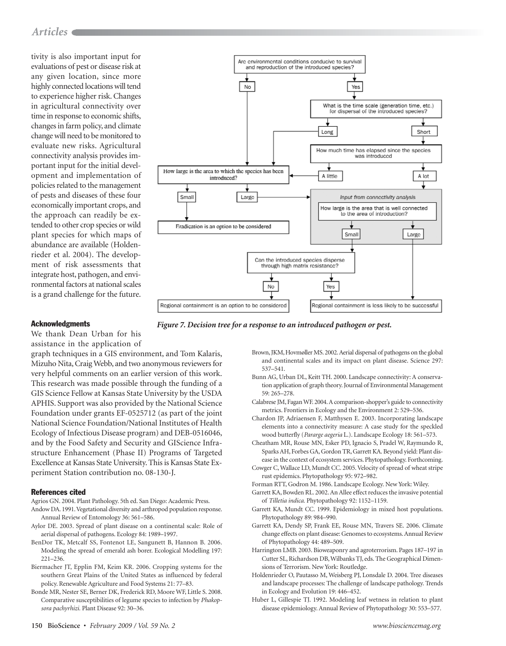tivity is also important input for evaluations of pest or disease risk at any given location, since more highly connected locations will tend to experience higher risk. Changes in agricultural connectivity over time in response to economic shifts, changes in farm policy, and climate change will need to be monitored to evaluate new risks. Agricultural connectivity analysis provides important input for the initial development and implementation of policies related to the management of pests and diseases of these four economically important crops, and the approach can readily be extended to other crop species or wild plant species for which maps of abundance are available (Holdenrieder et al. 2004). The development of risk assessments that integrate host, pathogen, and environmental factors at national scales is a grand challenge for the future.



*Figure 7. Decision tree for a response to an introduced pathogen or pest.*

#### Acknowledgments

We thank Dean Urban for his assistance in the application of

graph techniques in a GIS environment, and Tom Kalaris, Mizuho Nita, Craig Webb, and two anonymous reviewers for very helpful comments on an earlier version of this work. This research was made possible through the funding of a GIS Science Fellow at Kansas State University by the USDA APHIS. Support was also provided by the National Science Foundation under grants EF-0525712 (as part of the joint National Science Foundation/National Institutes of Health Ecology of Infectious Disease program) and DEB-0516046, and by the Food Safety and Security and GIScience Infrastructure Enhancement (Phase II) Programs of Targeted Excellence at Kansas State University. This is Kansas State Experiment Station contribution no. 08-130-J.

# References cited

Agrios GN. 2004. Plant Pathology. 5th ed. San Diego: Academic Press.

- Andow DA. 1991. Vegetational diversity and arthropod population response. Annual Review of Entomology 36: 561–586.
- Aylor DE. 2003. Spread of plant disease on a continental scale: Role of aerial dispersal of pathogens. Ecology 84: 1989–1997.
- BenDor TK, Metcalf SS, Fontenot LE, Sangunett B, Hannon B. 2006. Modeling the spread of emerald ash borer. Ecological Modelling 197: 221–236.
- Biermacher JT, Epplin FM, Keim KR. 2006. Cropping systems for the southern Great Plains of the United States as influenced by federal policy. Renewable Agriculture and Food Systems 21: 77–83.
- Bonde MR, Nester SE, Berner DK, Frederick RD, Moore WF, Little S. 2008. Comparative susceptibilities of legume species to infection by *Phakopsora pachyrhizi.* Plant Disease 92: 30–36.
- Brown, JKM, Hovmøller MS. 2002. Aerial dispersal of pathogens on the global and continental scales and its impact on plant disease. Science 297: 537–541.
- Bunn AG, Urban DL, Keitt TH. 2000. Landscape connectivity: A conservation application of graph theory. Journal of Environmental Management 59: 265–278.
- Calabrese JM, Fagan WF. 2004. A comparison-shopper's guide to connectivity metrics. Frontiers in Ecology and the Environment 2: 529–536.
- Chardon JP, Adriaensen F, Matthysen E. 2003. Incorporating landscape elements into a connectivity measure: A case study for the speckled wood butterfly (*Pararge aegeria* L.). Landscape Ecology 18: 561–573.
- Cheatham MR, Rouse MN, Esker PD, Ignacio S, Pradel W, Raymundo R, Sparks AH, Forbes GA, Gordon TR, Garrett KA. Beyond yield: Plant disease in the context of ecosystem services. Phytopathology. Forthcoming.
- Cowger C, Wallace LD, Mundt CC. 2005. Velocity of spread of wheat stripe rust epidemics. Phytopathology 95: 972–982.
- Forman RTT, Godron M. 1986. Landscape Ecology. New York: Wiley.
- Garrett KA, Bowden RL. 2002. An Allee effect reduces the invasive potential of *Tilletia indica.* Phytopathology 92: 1152–1159.
- Garrett KA, Mundt CC. 1999. Epidemiology in mixed host populations. Phytopathology 89: 984–990.
- Garrett KA, Dendy SP, Frank EE, Rouse MN, Travers SE. 2006. Climate change effects on plant disease: Genomes to ecosystems. Annual Review of Phytopathology 44: 489–509.
- Harrington LMB. 2003. Bioweaponry and agroterrorism. Pages 187–197 in Cutter SL, Richardson DB, Wilbanks TJ, eds. The Geographical Dimensions of Terrorism. New York: Routledge.
- Holdenrieder O, Pautasso M, Weisberg PJ, Lonsdale D. 2004. Tree diseases and landscape processes: The challenge of landscape pathology. Trends in Ecology and Evolution 19: 446–452.
- Huber L, Gillespie TJ. 1992. Modeling leaf wetness in relation to plant disease epidemiology. Annual Review of Phytopathology 30: 553–577.